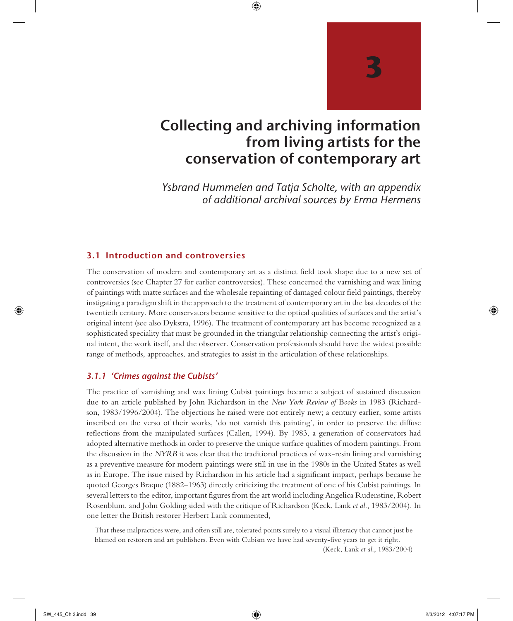$\bigoplus$ 



# Collecting and archiving information from living artists for the conservation of contemporary art

*Ysbrand Hummelen and Tatja Scholte, with an appendix of additional archival sources by Erma Hermens*

# 3.1 Introduction and controversies

The conservation of modern and contemporary art as a distinct field took shape due to a new set of controversies (see Chapter 27 for earlier controversies). These concerned the varnishing and wax lining of paintings with matte surfaces and the wholesale repainting of damaged colour field paintings, thereby instigating a paradigm shift in the approach to the treatment of contemporary art in the last decades of the twentieth century. More conservators became sensitive to the optical qualities of surfaces and the artist's original intent (see also Dykstra, 1996). The treatment of contemporary art has become recognized as a sophisticated speciality that must be grounded in the triangular relationship connecting the artist's original intent, the work itself, and the observer. Conservation professionals should have the widest possible range of methods, approaches, and strategies to assist in the articulation of these relationships.

# *3.1.1 'Crimes against the Cubists'*

The practice of varnishing and wax lining Cubist paintings became a subject of sustained discussion due to an article published by John Richardson in the *New York Review of* B*ooks* in 1983 (Richardson, 1983/1996/2004). The objections he raised were not entirely new; a century earlier, some artists inscribed on the verso of their works, 'do not varnish this painting', in order to preserve the diffuse reflections from the manipulated surfaces (Callen, 1994). By 1983, a generation of conservators had adopted alternative methods in order to preserve the unique surface qualities of modern paintings. From the discussion in the *NYRB* it was clear that the traditional practices of wax-resin lining and varnishing as a preventive measure for modern paintings were still in use in the 1980s in the United States as well as in Europe. The issue raised by Richardson in his article had a significant impact, perhaps because he quoted Georges Braque (1882–1963) directly criticizing the treatment of one of his Cubist paintings. In several letters to the editor, important figures from the art world including Angelica Rudenstine, Robert Rosenblum, and John Golding sided with the critique of Richardson (Keck, Lank *et al*., 1983/2004). In one letter the British restorer Herbert Lank commented,

That these malpractices were, and often still are, tolerated points surely to a visual illiteracy that cannot just be blamed on restorers and art publishers. Even with Cubism we have had seventy-five years to get it right. (Keck, Lank *et al*., 1983/2004)

◈

SW\_445\_Ch 3.indd 39 2/3/2012 4:07:17 PM  $\bigoplus$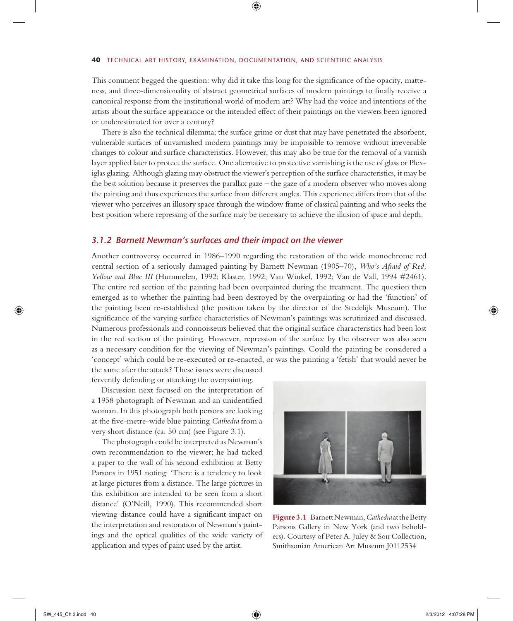This comment begged the question: why did it take this long for the significance of the opacity, matteness, and three-dimensionality of abstract geometrical surfaces of modern paintings to finally receive a canonical response from the institutional world of modern art? Why had the voice and intentions of the artists about the surface appearance or the intended effect of their paintings on the viewers been ignored or underestimated for over a century?

⊕

There is also the technical dilemma; the surface grime or dust that may have penetrated the absorbent, vulnerable surfaces of unvarnished modern paintings may be impossible to remove without irreversible changes to colour and surface characteristics. However, this may also be true for the removal of a varnish layer applied later to protect the surface. One alternative to protective varnishing is the use of glass or Plexiglas glazing. Although glazing may obstruct the viewer's perception of the surface characteristics, it may be the best solution because it preserves the parallax gaze – the gaze of a modern observer who moves along the painting and thus experiences the surface from different angles. This experience differs from that of the viewer who perceives an illusory space through the window frame of classical painting and who seeks the best position where repressing of the surface may be necessary to achieve the illusion of space and depth.

## *3.1.2 Barnett Newman's surfaces and their impact on the viewer*

Another controversy occurred in 1986–1990 regarding the restoration of the wide monochrome red central section of a seriously damaged painting by Barnett Newman (1905–70), *Who's Afraid of Red, Yellow and Blue III* (Hummelen, 1992; Klaster, 1992; Van Winkel, 1992; Van de Vall, 1994 #2461). The entire red section of the painting had been overpainted during the treatment. The question then emerged as to whether the painting had been destroyed by the overpainting or had the 'function' of the painting been re-established (the position taken by the director of the Stedelijk Museum). The significance of the varying surface characteristics of Newman's paintings was scrutinized and discussed. Numerous professionals and connoisseurs believed that the original surface characteristics had been lost in the red section of the painting. However, repression of the surface by the observer was also seen as a necessary condition for the viewing of Newman's paintings. Could the painting be considered a 'concept' which could be re-executed or re-enacted, or was the painting a 'fetish' that would never be the same after the attack? These issues were discussed

fervently defending or attacking the overpainting.

Discussion next focused on the interpretation of a 1958 photograph of Newman and an unidentified woman. In this photograph both persons are looking at the five-metre-wide blue painting *Cathedra* from a very short distance (ca. 50 cm) (see Figure 3.1).

The photograph could be interpreted as Newman's own recommendation to the viewer; he had tacked a paper to the wall of his second exhibition at Betty Parsons in 1951 noting: 'There is a tendency to look at large pictures from a distance. The large pictures in this exhibition are intended to be seen from a short distance' (O'Neill, 1990). This recommended short viewing distance could have a significant impact on the interpretation and restoration of Newman's paintings and the optical qualities of the wide variety of application and types of paint used by the artist.



**Figure 3.1** Barnett Newman, *Cathedra* at the Betty Parsons Gallery in New York (and two beholders). Courtesy of Peter A. Juley & Son Collection, Smithsonian American Art Museum J0112534

◈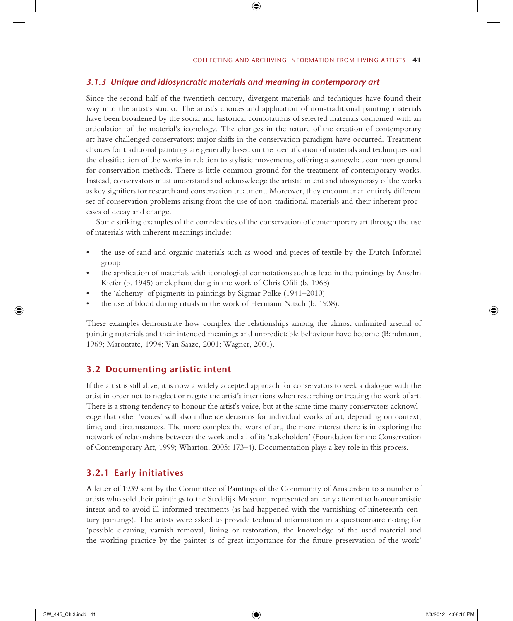#### *3.1.3 Unique and idiosyncratic materials and meaning in contemporary art*

Since the second half of the twentieth century, divergent materials and techniques have found their way into the artist's studio. The artist's choices and application of non-traditional painting materials have been broadened by the social and historical connotations of selected materials combined with an articulation of the material's iconology. The changes in the nature of the creation of contemporary art have challenged conservators; major shifts in the conservation paradigm have occurred. Treatment choices for traditional paintings are generally based on the identification of materials and techniques and the classification of the works in relation to stylistic movements, offering a somewhat common ground for conservation methods. There is little common ground for the treatment of contemporary works. Instead, conservators must understand and acknowledge the artistic intent and idiosyncrasy of the works as key signifiers for research and conservation treatment. Moreover, they encounter an entirely different set of conservation problems arising from the use of non-traditional materials and their inherent processes of decay and change.

⊕

Some striking examples of the complexities of the conservation of contemporary art through the use of materials with inherent meanings include:

- the use of sand and organic materials such as wood and pieces of textile by the Dutch Informel group
- the application of materials with iconological connotations such as lead in the paintings by Anselm Kiefer (b. 1945) or elephant dung in the work of Chris Ofili (b. 1968)
- the 'alchemy' of pigments in paintings by Sigmar Polke (1941–2010)
- the use of blood during rituals in the work of Hermann Nitsch (b. 1938).

These examples demonstrate how complex the relationships among the almost unlimited arsenal of painting materials and their intended meanings and unpredictable behaviour have become (Bandmann, 1969; Marontate, 1994; Van Saaze, 2001; Wagner, 2001).

# 3.2 Documenting artistic intent

If the artist is still alive, it is now a widely accepted approach for conservators to seek a dialogue with the artist in order not to neglect or negate the artist's intentions when researching or treating the work of art. There is a strong tendency to honour the artist's voice, but at the same time many conservators acknowledge that other 'voices' will also influence decisions for individual works of art, depending on context, time, and circumstances. The more complex the work of art, the more interest there is in exploring the network of relationships between the work and all of its 'stakeholders' (Foundation for the Conservation of Contemporary Art, 1999; Wharton, 2005: 173–4). Documentation plays a key role in this process.

# 3.2.1 Early initiatives

A letter of 1939 sent by the Committee of Paintings of the Community of Amsterdam to a number of artists who sold their paintings to the Stedelijk Museum, represented an early attempt to honour artistic intent and to avoid ill-informed treatments (as had happened with the varnishing of nineteenth-century paintings). The artists were asked to provide technical information in a questionnaire noting for 'possible cleaning, varnish removal, lining or restoration, the knowledge of the used material and the working practice by the painter is of great importance for the future preservation of the work'

♠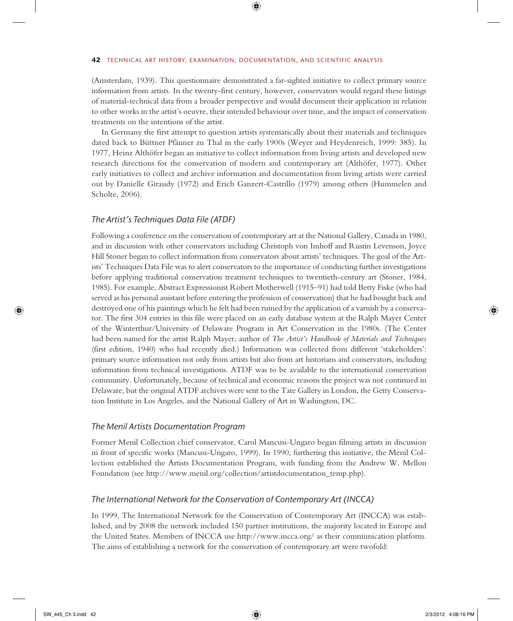(Amsterdam, 1939). This questionnaire demonstrated a far-sighted initiative to collect primary source information from artists. In the twenty-first century, however, conservators would regard these listings of material-technical data from a broader perspective and would document their application in relation to other works in the artist's oeuvre, their intended behaviour over time, and the impact of conservation treatments on the intentions of the artist.

⊕

In Germany the first attempt to question artists systematically about their materials and techniques dated back to Büttner Pfänner zu Thal in the early 1900s (Weyer and Heydenreich, 1999: 385). In 1977, Heinz Althöfer began an initiative to collect information from living artists and developed new research directions for the conservation of modern and contemporary art (Althöfer, 1977). Other early initiatives to collect and archive information and documentation from living artists were carried out by Danielle Giraudy (1972) and Erich Ganzert-Castrillo (1979) among others (Hummelen and Scholte, 2006).

#### *The Artist's Techniques Data File (ATDF)*

Following a conference on the conservation of contemporary art at the National Gallery, Canada in 1980, and in discussion with other conservators including Christoph von Imhoff and Rustin Levenson, Joyce Hill Stoner began to collect information from conservators about artists' techniques. The goal of the Artists' Techniques Data File was to alert conservators to the importance of conducting further investigations before applying traditional conservation treatment techniques to twentieth-century art (Stoner, 1984, 1985). For example, Abstract Expressionist Robert Motherwell (1915–91) had told Betty Fiske (who had served as his personal assistant before entering the profession of conservation) that he had bought back and destroyed one of his paintings which he felt had been ruined by the application of a varnish by a conservator. The first 304 entries in this file were placed on an early database system at the Ralph Mayer Center of the Winterthur/University of Delaware Program in Art Conservation in the 1980s. (The Center had been named for the artist Ralph Mayer, author of *The Artist's Handbook of Materials and Techniques*  (first edition, 1940) who had recently died.) Information was collected from different 'stakeholders': primary source information not only from artists but also from art historians and conservators, including information from technical investigations. ATDF was to be available to the international conservation community. Unfortunately, because of technical and economic reasons the project was not continued in Delaware, but the original ATDF archives were sent to the Tate Gallery in London, the Getty Conservation Institute in Los Angeles, and the National Gallery of Art in Washington, DC.

# *The Menil Artists Documentation Program*

Former Menil Collection chief conservator, Carol Mancusi-Ungaro began filming artists in discussion in front of specific works (Mancusi-Ungaro, 1999). In 1990, furthering this initiative, the Menil Collection established the Artists Documentation Program, with funding from the Andrew W. Mellon Foundation (see http://www.menil.org/collection/artistdocumentation\_temp.php).

## *The International Network for the Conservation of Contemporary Art (INCCA)*

In 1999, The International Network for the Conservation of Contemporary Art (INCCA) was established, and by 2008 the network included 150 partner institutions, the majority located in Europe and the United States. Members of INCCA use http://www.incca.org/ as their communication platform. The aims of establishing a network for the conservation of contemporary art were twofold:

◈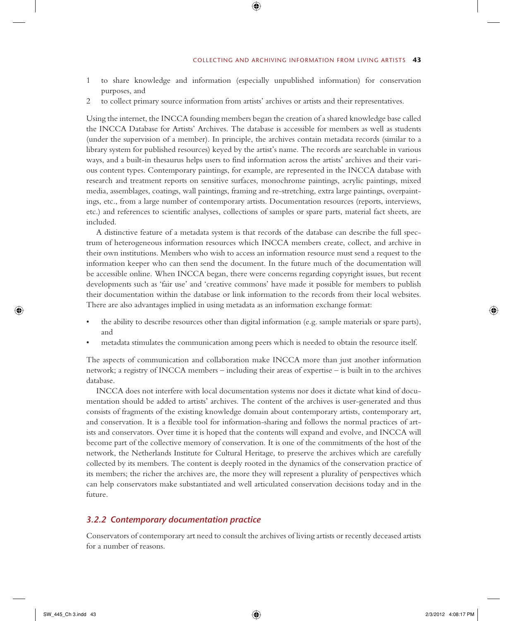1 to share knowledge and information (especially unpublished information) for conservation purposes, and

⊕

2 to collect primary source information from artists' archives or artists and their representatives.

Using the internet, the INCCA founding members began the creation of a shared knowledge base called the INCCA Database for Artists' Archives. The database is accessible for members as well as students (under the supervision of a member). In principle, the archives contain metadata records (similar to a library system for published resources) keyed by the artist's name. The records are searchable in various ways, and a built-in thesaurus helps users to find information across the artists' archives and their various content types. Contemporary paintings, for example, are represented in the INCCA database with research and treatment reports on sensitive surfaces, monochrome paintings, acrylic paintings, mixed media, assemblages, coatings, wall paintings, framing and re-stretching, extra large paintings, overpaintings, etc., from a large number of contemporary artists. Documentation resources (reports, interviews, etc.) and references to scientific analyses, collections of samples or spare parts, material fact sheets, are included.

A distinctive feature of a metadata system is that records of the database can describe the full spectrum of heterogeneous information resources which INCCA members create, collect, and archive in their own institutions. Members who wish to access an information resource must send a request to the information keeper who can then send the document. In the future much of the documentation will be accessible online. When INCCA began, there were concerns regarding copyright issues, but recent developments such as 'fair use' and 'creative commons' have made it possible for members to publish their documentation within the database or link information to the records from their local websites. There are also advantages implied in using metadata as an information exchange format:

- the ability to describe resources other than digital information (e.g. sample materials or spare parts), and
- metadata stimulates the communication among peers which is needed to obtain the resource itself.

The aspects of communication and collaboration make INCCA more than just another information network; a registry of INCCA members – including their areas of expertise – is built in to the archives database.

INCCA does not interfere with local documentation systems nor does it dictate what kind of documentation should be added to artists' archives. The content of the archives is user-generated and thus consists of fragments of the existing knowledge domain about contemporary artists, contemporary art, and conservation. It is a flexible tool for information-sharing and follows the normal practices of artists and conservators. Over time it is hoped that the contents will expand and evolve, and INCCA will become part of the collective memory of conservation. It is one of the commitments of the host of the network, the Netherlands Institute for Cultural Heritage, to preserve the archives which are carefully collected by its members. The content is deeply rooted in the dynamics of the conservation practice of its members; the richer the archives are, the more they will represent a plurality of perspectives which can help conservators make substantiated and well articulated conservation decisions today and in the future.

#### *3.2.2 Contemporary documentation practice*

Conservators of contemporary art need to consult the archives of living artists or recently deceased artists for a number of reasons.

♠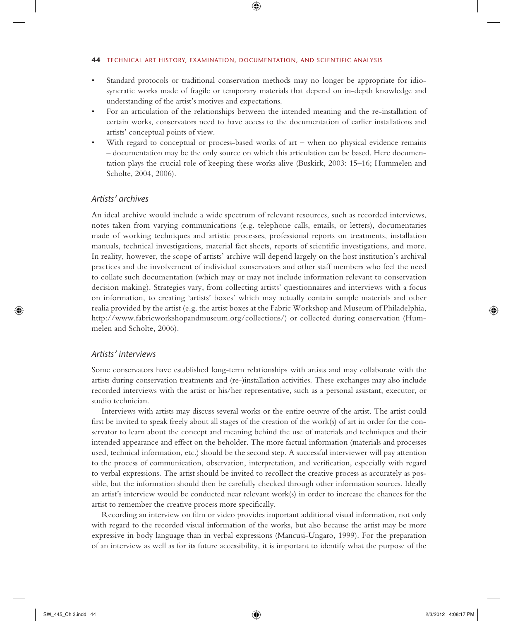• Standard protocols or traditional conservation methods may no longer be appropriate for idiosyncratic works made of fragile or temporary materials that depend on in-depth knowledge and understanding of the artist's motives and expectations.

⊕

- For an articulation of the relationships between the intended meaning and the re-installation of certain works, conservators need to have access to the documentation of earlier installations and artists' conceptual points of view.
- With regard to conceptual or process-based works of art when no physical evidence remains – documentation may be the only source on which this articulation can be based. Here documentation plays the crucial role of keeping these works alive (Buskirk, 2003: 15–16; Hummelen and Scholte, 2004, 2006).

# *Artists' archives*

An ideal archive would include a wide spectrum of relevant resources, such as recorded interviews, notes taken from varying communications (e.g. telephone calls, emails, or letters), documentaries made of working techniques and artistic processes, professional reports on treatments, installation manuals, technical investigations, material fact sheets, reports of scientific investigations, and more. In reality, however, the scope of artists' archive will depend largely on the host institution's archival practices and the involvement of individual conservators and other staff members who feel the need to collate such documentation (which may or may not include information relevant to conservation decision making). Strategies vary, from collecting artists' questionnaires and interviews with a focus on information, to creating 'artists' boxes' which may actually contain sample materials and other realia provided by the artist (e.g. the artist boxes at the Fabric Workshop and Museum of Philadelphia, http://www.fabricworkshopandmuseum.org/collections/) or collected during conservation (Hummelen and Scholte, 2006).

## *Artists' interviews*

Some conservators have established long-term relationships with artists and may collaborate with the artists during conservation treatments and (re-)installation activities. These exchanges may also include recorded interviews with the artist or his/her representative, such as a personal assistant, executor, or studio technician.

Interviews with artists may discuss several works or the entire oeuvre of the artist. The artist could first be invited to speak freely about all stages of the creation of the work(s) of art in order for the conservator to learn about the concept and meaning behind the use of materials and techniques and their intended appearance and effect on the beholder. The more factual information (materials and processes used, technical information, etc.) should be the second step. A successful interviewer will pay attention to the process of communication, observation, interpretation, and verification, especially with regard to verbal expressions. The artist should be invited to recollect the creative process as accurately as possible, but the information should then be carefully checked through other information sources. Ideally an artist's interview would be conducted near relevant work(s) in order to increase the chances for the artist to remember the creative process more specifically.

Recording an interview on film or video provides important additional visual information, not only with regard to the recorded visual information of the works, but also because the artist may be more expressive in body language than in verbal expressions (Mancusi-Ungaro, 1999). For the preparation of an interview as well as for its future accessibility, it is important to identify what the purpose of the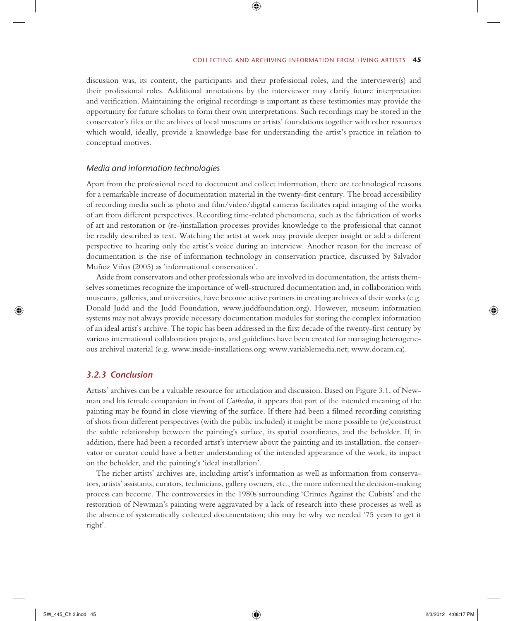discussion was, its content, the participants and their professional roles, and the interviewer(s) and their professional roles. Additional annotations by the interviewer may clarify future interpretation and verification. Maintaining the original recordings is important as these testimonies may provide the opportunity for future scholars to form their own interpretations. Such recordings may be stored in the conservator's files or the archives of local museums or artists' foundations together with other resources which would, ideally, provide a knowledge base for understanding the artist's practice in relation to conceptual motives.

⊕

#### *Media and information technologies*

Apart from the professional need to document and collect information, there are technological reasons for a remarkable increase of documentation material in the twenty-first century. The broad accessibility of recording media such as photo and film/video/digital cameras facilitates rapid imaging of the works of art from different perspectives. Recording time-related phenomena, such as the fabrication of works of art and restoration or (re-)installation processes provides knowledge to the professional that cannot be readily described as text. Watching the artist at work may provide deeper insight or add a different perspective to hearing only the artist's voice during an interview. Another reason for the increase of documentation is the rise of information technology in conservation practice, discussed by Salvador Muñoz Viñas (2005) as 'informational conservation'.

Aside from conservators and other professionals who are involved in documentation, the artists themselves sometimes recognize the importance of well-structured documentation and, in collaboration with museums, galleries, and universities, have become active partners in creating archives of their works (e.g. Donald Judd and the Judd Foundation, www.juddfoundation.org). However, museum information systems may not always provide necessary documentation modules for storing the complex information of an ideal artist's archive. The topic has been addressed in the first decade of the twenty-first century by various international collaboration projects, and guidelines have been created for managing heterogeneous archival material (e.g. www.inside-installations.org; www.variablemedia.net; www.docam.ca).

#### *3.2.3 Conclusion*

Artists' archives can be a valuable resource for articulation and discussion. Based on Figure 3.1, of Newman and his female companion in front of *Cathedra*, it appears that part of the intended meaning of the painting may be found in close viewing of the surface. If there had been a filmed recording consisting of shots from different perspectives (with the public included) it might be more possible to (re)construct the subtle relationship between the painting's surface, its spatial coordinates, and the beholder. If, in addition, there had been a recorded artist's interview about the painting and its installation, the conservator or curator could have a better understanding of the intended appearance of the work, its impact on the beholder, and the painting's 'ideal installation'.

The richer artists' archives are, including artist's information as well as information from conservators, artists' assistants, curators, technicians, gallery owners, etc., the more informed the decision-making process can become. The controversies in the 1980s surrounding 'Crimes Against the Cubists' and the restoration of Newman's painting were aggravated by a lack of research into these processes as well as the absence of systematically collected documentation; this may be why we needed '75 years to get it right'.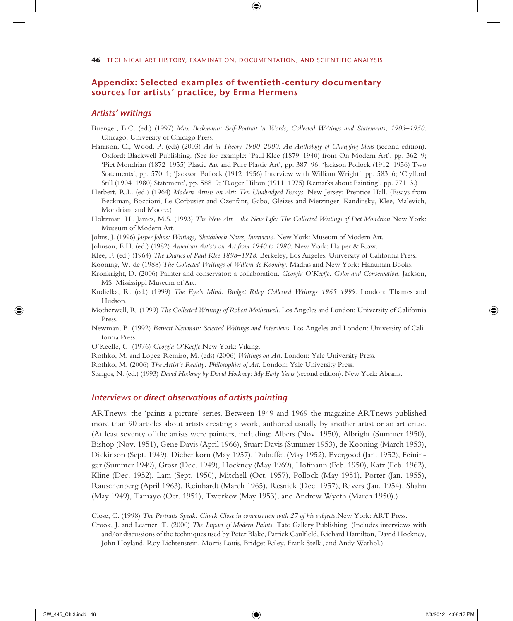# Appendix: Selected examples of twentieth-century documentary sources for artists' practice, by Erma Hermens

## *Artists' writings*

Buenger, B.C. (ed.) (1997) *Max Beckmann: Self-Portrait in Words, Collected Writings and Statements, 1903–1950*. Chicago: University of Chicago Press.

⊕

- Harrison, C., Wood, P. (eds) (2003) *Art in Theory 1900–2000: An Anthology of Changing Ideas* (second edition). Oxford: Blackwell Publishing. (See for example: 'Paul Klee (1879–1940) from On Modern Art', pp. 362–9; 'Piet Mondrian (1872–1955) Plastic Art and Pure Plastic Art', pp. 387–96; 'Jackson Pollock (1912–1956) Two Statements', pp. 570–1; 'Jackson Pollock (1912–1956) Interview with William Wright', pp. 583–6; 'Clyfford Still (1904–1980) Statement', pp. 588–9; 'Roger Hilton (1911–1975) Remarks about Painting', pp. 771–3.)
- Herbert, R.L. (ed.) (1964) *Modern Artists on Art: Ten Unabridged Essays*. New Jersey: Prentice Hall. (Essays from Beckman, Boccioni, Le Corbusier and Ozenfant, Gabo, Gleizes and Metzinger, Kandinsky, Klee, Malevich, Mondrian, and Moore.)
- Holtzman, H., James, M.S. (1993) *The New Art the New Life: The Collected Writings of Piet Mondrian.*New York: Museum of Modern Art.
- Johns, J. (1996) *Jasper Johns: Writings, Sketchbook Notes, Interviews*. New York: Museum of Modern Art.
- Johnson, E.H. (ed.) (1982) *American Artists on Art from 1940 to 1980*. New York: Harper & Row.
- Klee, F. (ed.) (1964) *The Diaries of Paul Klee 1898–1918*. Berkeley, Los Angeles: University of California Press.
- Kooning, W. de (1988) *The Collected Writings of Willem de Kooning*. Madras and New York: Hanuman Books.

Kronkright, D. (2006) Painter and conservator: a collaboration. *Georgia O'Keeffe: Color and Conservation.* Jackson, MS: Mississippi Museum of Art.

- Kudielka, R. (ed.) (1999) *The Eye's Mind: Bridget Riley Collected Writings 1965–1999*. London: Thames and Hudson.
- Motherwell, R. (1999) *The Collected Writings of Robert Motherwell*. Los Angeles and London: University of California Press.
- Newman, B. (1992) *Barnett Newman: Selected Writings and Interviews*. Los Angeles and London: University of California Press.
- O'Keeffe, G. (1976) *Georgia O'Keeffe.*New York: Viking.
- Rothko, M. and Lopez-Remiro, M. (eds) (2006) *Writings on Art*. London: Yale University Press.
- Rothko, M. (2006) *The Artist's Reality: Philosophies of Art*. London: Yale University Press.
- Stangos, N. (ed.) (1993) *David Hockney by David Hockney: My Early Years* (second edition). New York: Abrams.

#### *Interviews or direct observations of artists painting*

ARTnews: the 'paints a picture' series. Between 1949 and 1969 the magazine ARTnews published more than 90 articles about artists creating a work, authored usually by another artist or an art critic. (At least seventy of the artists were painters, including: Albers (Nov. 1950), Albright (Summer 1950), Bishop (Nov. 1951), Gene Davis (April 1966), Stuart Davis (Summer 1953), de Kooning (March 1953), Dickinson (Sept. 1949), Diebenkorn (May 1957), Dubuffet (May 1952), Evergood (Jan. 1952), Feininger (Summer 1949), Grosz (Dec. 1949), Hockney (May 1969), Hofmann (Feb. 1950), Katz (Feb. 1962), Kline (Dec. 1952), Lam (Sept. 1950), Mitchell (Oct. 1957), Pollock (May 1951), Porter (Jan. 1955), Rauschenberg (April 1963), Reinhardt (March 1965), Resnick (Dec. 1957), Rivers (Jan. 1954), Shahn (May 1949), Tamayo (Oct. 1951), Tworkov (May 1953), and Andrew Wyeth (March 1950).)

Close, C. (1998) *The Portraits Speak: Chuck Close in conversation with 27 of his subjects.*New York: ART Press. Crook, J. and Learner, T. (2000) *The Impact of Modern Paints*. Tate Gallery Publishing. (Includes interviews with and/or discussions of the techniques used by Peter Blake, Patrick Caulfield, Richard Hamilton, David Hockney, John Hoyland, Roy Lichtenstein, Morris Louis, Bridget Riley, Frank Stella, and Andy Warhol.)

◈